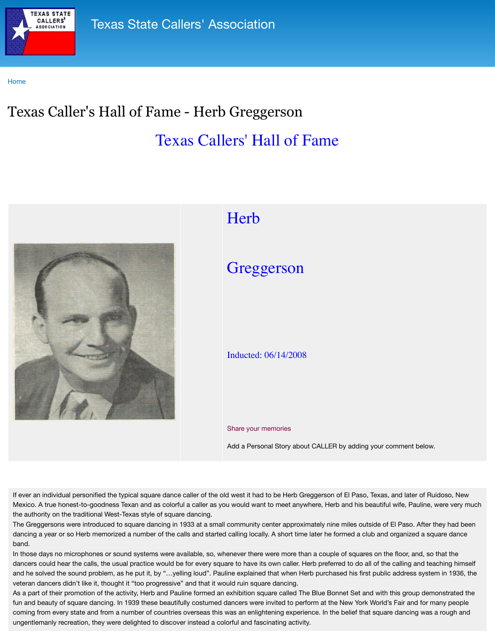

## **Here**

## Greggerson

## Inducted: 06/14/2008

## Share your memories

Add a Personal Story about C

If ever an individual personified the typical square dance caller of the old west it had to be Herb Gregg Mexico. A true honest-to-goodness Texan and as colorful a caller as you would want to meet anywhe the authority on the traditional West-Texas style of square dancing.

The Greggersons were introduced to square dancing in 1933 at a small community center approximation dancing a year or so Herb memorized a number of the calls and started calling locally. A short time later he for band.

In those days no microphones or sound systems were available, so, whenever there were more than a dancers could hear the calls, the usual practice would be for every square to have its own caller. Herb and he solved the sound problem, as he put it, by "...yelling loud". Pauline explained that when Herb veteran dancers didn't like it, thought it "too progressive" and that it would ruin square dancing.

As a part of their promotion of the activity, Herb and Pauline formed an exhibition square called The E fun and beauty of square dancing. In 1939 these beautifully costumed dancers were invited to perforr coming from every state and from a number of countries overseas this was an enlightening experience. ungentlemanly recreation, they were delighted to discover instead a colorful and fascinating activity.